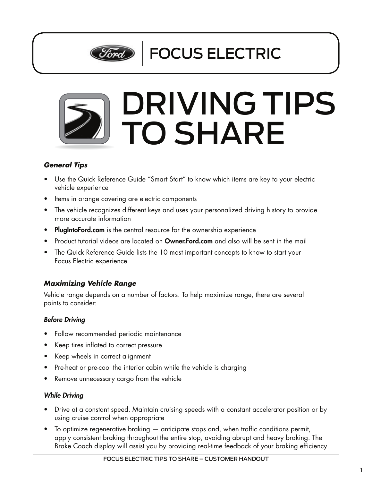

**FOCUS ELECTRIC** 

# **DRIVING TIPS TO SHARE**

# **General Tips**

- Use the Quick Reference Guide "Smart Start" to know which items are key to your electric vehicle experience
- Items in orange covering are electric components
- The vehicle recognizes different keys and uses your personalized driving history to provide  $\bullet$ more accurate information
- PlugIntoFord.com is the central resource for the ownership experience
- Product tutorial videos are located on **Owner.Ford.com** and also will be sent in the mail
- The Quick Reference Guide lists the 10 most important concepts to know to start your Focus Electric experience

# **Maximizing Vehicle Range**

Vehicle range depends on a number of factors. To help maximize range, there are several points to consider:

### **Before Driving**

- Follow recommended periodic maintenance
- Keep tires inflated to correct pressure
- Keep wheels in correct alignment
- Pre-heat or pre-cool the interior cabin while the vehicle is charging
- Remove unnecessary cargo from the vehicle

#### **While Driving**

- Drive at a constant speed. Maintain cruising speeds with a constant accelerator position or by using cruise control when appropriate
- To optimize regenerative braking anticipate stops and, when traffic conditions permit, apply consistent braking throughout the entire stop, avoiding abrupt and heavy braking. The Brake Coach display will assist you by providing real-time feedback of your braking efficiency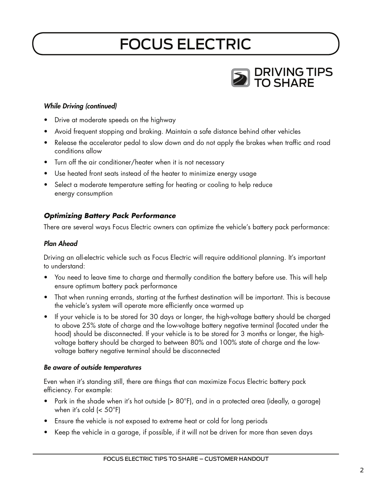# **FOCUS ELECTRIC**



#### **While Driving (continued)**

- Drive at moderate speeds on the highway
- Avoid frequent stopping and braking. Maintain a safe distance behind other vehicles
- Release the accelerator pedal to slow down and do not apply the brakes when traffic and road conditions allow
- Turn off the air conditioner/heater when it is not necessary
- Use heated front seats instead of the heater to minimize energy usage
- Select a moderate temperature setting for heating or cooling to help reduce energy consumption

## **Optimizing Battery Pack Performance**

There are several ways Focus Electric owners can optimize the vehicle's battery pack performance:

## **Plan Ahead**

Driving an all-electric vehicle such as Focus Electric will require additional planning. It's important to understand:

- You need to leave time to charge and thermally condition the battery before use. This will help ensure optimum battery pack performance
- That when running errands, starting at the furthest destination will be important. This is because the vehicle's system will operate more efficiently once warmed up
- If your vehicle is to be stored for 30 days or longer, the high-voltage battery should be charged to above 25% state of charge and the low-voltage battery negative terminal (located under the hood) should be disconnected. If your vehicle is to be stored for 3 months or longer, the highvoltage battery should be charged to between 80% and 100% state of charge and the lowvoltage battery negative terminal should be disconnected

#### Be aware of outside temperatures

Even when it's standing still, there are things that can maximize Focus Electric battery pack efficiency. For example:

- Park in the shade when it's hot outside (> 80°F), and in a protected area (ideally, a garage) when it's cold  $(< 50^{\circ}F)$
- Ensure the vehicle is not exposed to extreme heat or cold for long periods
- Keep the vehicle in a garage, if possible, if it will not be driven for more than seven days